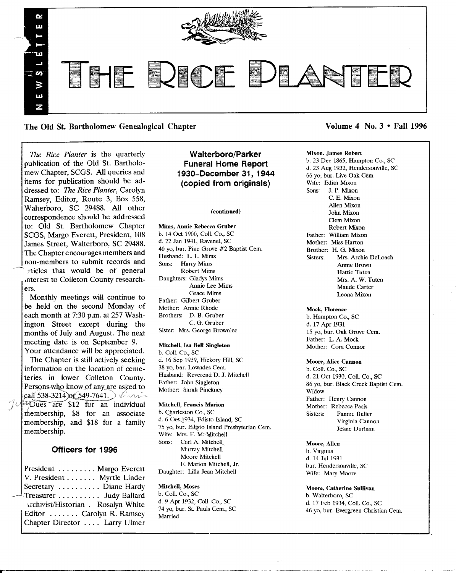

The Old St. Bartholomew Genealogical Chapter Volume 4 No. 3 • Fall 1996

*The Rice Planter* is the quarterly publication of the Old St. Bartholomew Chapter, SCGS. All queries and items for publication should be addressed to: *The Rice Planter,* Carolyn Ramsey, Editor, Route 3, Box 558, Walterboro, SC 29488. All other correspondence should be addressed to: Old St. Bartholomew Chapter SCGS, Margo Everett, President, 108 James Street, Walterboro, SC 29488. The Chapter encourages members and non-members to submit records and rticles that would be of general ,uterest to Colleton County researchers.

Monthly meetings will continue to be held on the second Monday of each month at 7:30 p.m. at 257 Washington Street except during the months of July and August. The next meeting date is on September 9. Your attendance will be appreciated.

The Chapter is still actively seeking information on the location of cemeteries in lower Colleton County. Persons who know of any are asked to<br>call 538-3214 or 549-7641.  $\sqrt{2\pi/4}$  Dues are \$12 for an individual membership, \$8 for an associate membership, and \$18 for a family membership.

# Officers for 1996

President ........ Margo Everett<br>V. President ....... Myrtle Linder Secretary . . . . . . . . . . Diane Hardy Treasurer . . . . . . . . . Judy Ballard Archivist/Historian . Rosalyn White Editor ....... Carolyn R. Ramsey Chapter Director . . .. Larry Ulmer

# Walterboro/Parker Funeral Home Report 1930-December 31, 1944 (copied from originals)

#### (continued)

Mims, Annie Rebecca Gruber b. 14 Oct 1900, Coli. Co., SC d. 22 Jan 1941, Ravenel, SC 40 yo, bur. Pine Grove #2 Baptist Cem. Husband: L. L. Mims Sons: Harry Mims Robert Mims Daughters: Gladys Mims Annie Lee Mirns Grace Mims Father: Gilbert Gruber Mother: Annie Rhode Brothers: D. B. Gruber C. G. Gruber Sister: Mrs. George Brownlee

## Mitchell, Isa Bell Singleton

b. ColI. Co., SC d. 16 Sep 1939, Hickory Hill, SC 38 yo, bur. Lowndes Cem. Husband: Reverend D. J. Mitchell Father: John Singleton Mother: Sarah Pinckney

#### Mitchell, Francis Marion

b. Charleston Co., SC d. 6 Oet 1934, Edisto Island, SC 75 yo, bur. Edisto Island Presbyterian Cem. Wife: Mrs. F. M. Mitchell Sons: Carl A. Mitchell Murray Mitchell Moore Mitchell F. Marion Mitchell, Jr. Daughter: Lilla Jean Mitchell

#### Mitchell, Moses

b. Coli. Co., SC d. 9 Apr 1932, ColI. Co., SC 74 yo, bur. St. Pauls Cern., SC Married

## Mixon, James Robert

b\_ 23 Dec 1865, Hampton Co\_, SC d. 23 Aug 1932, Hendersonville, SC 66 yo, bur. Live Oak Cem. Wife: Edith Mixon Sons: J. P. Mixon C. E. Mixon Allen Mixon John Mixon Clem Mixon Robert Mixon Father: William Mixon Mother: Miss Harton Brother: H. G. Mixon Sisters: Mrs. Archie DeLoach Annie Brown Hattie Tuten Mrs. A. W. Tuten Maude Carter Leona Mixon

#### Mock, Florence

b. Hampton Co., SC d. 17 Apr 1931 15 yo, bur. Oak Grove Cem. Father: L. A. Mock Mother: Cora Connor

#### Moore, Alice Cannon

b. Call. Co., SC d. 21 Oct 1930, Call. Co., SC 86 yo, bur. Black Creek Baptist Cem. Widow Father: Henry Cannon Mother: Rebecca Paris Sisters: Fannie Buller Virginia Cannon Jessie Durham

## Moore. Allen

b. Virginia d. 14 Jul 1931 bur. Hendersonville, SC Wife: Mary Moore

## Moore. Catherine Sullivan

b. Walterboro, SC d. 17 Feb 1934, Coli. Co., SC 46 yo, bur. Evergreen Christian Cem.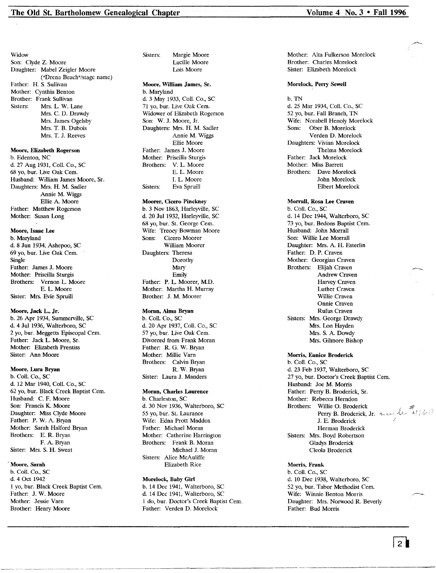Widow Son: Clyde Z. Moore Daughter: Mabel Zeigler Moore ("Drena Beach"/stage name) Father: H. S. Sullivan Mother: Cynthia Benton Brother: Frank Sullivan Sisters: Mrs. L. W. Lane Mrs. C. D. Drawdy Mrs. James Ogelsby Mrs. T. B. Dubois Mrs. T. J. Reeves

Moore, Elizabeth Rogerson b. Edenton, NC d. 27 Aug 1931, Coil. Co., SC 68 yo, bur. Live Oak Cern. Husband: William James Moore, Sr. Daughters: Mrs. H. M. Sadler Annie M. Wiggs Ellie A. Moore Father: Matthew Rogerson Mother: Susan Long

Moore, Isaac Lee b. Maryland d. 8 Jun 1934, Ashepoo, SC 69 yo, bur. Live Oak Cern. Single Father: James J. Moore Mother: Priscilla Sturgis Brothers: Vernon L. Moore E. L Moore Sister: Mrs. Evie Spruill

Moore, Jack L., Jr. b. 26 Apr 1934, Summerville, SC d. 4 Jul 1936, Walterboro, SC 2 yo, bur. Meggetts Episcopal Cern. Father: Jack L. Moore, Sr. Mother: Elizabeth Prentiss Sister: Ann Moore

Moore, Lura Bryan b. Coli. Co., SC d. 12 Mar 1940, Coli. Co., SC 62 yo, bur. Black Creek Baptist Cern. Husband: C. F. Moore Son: Francis K. Moore Daughter: Miss Clyde Moore Father: P. W. A Bryan Mother: Sarah Halford Bryan Brothers: E. R. Bryan F. A. Bryan Sister: Mrs. S. H. Sweat

## . Moore, Sarah

b. Coli. Co., SC d. 4 Oct 1942 1 yo, bur. Black Creek Baptist Cern. Father: J. W. Moore Mother: Jessie Varn Brother: Henry Moore

Margie Moore Lucille Moore Lois Moore Sisters:

#### Moore, William James, Sr. b. Maryland

d. 3 May 1933, Coli. Co., SC 71 yo, bur. Live Oak Cem. Widower of Elizabeth Rogerson Son: W. J. Moore, Jr. Daughters: Mrs. H. M. Sadler Annie M. Wiggs Ellie Moore Father: James J. Moore Mother: Priscilla Sturgis Brothers: V. L. Moore E. L Moore 1. L. Moore Sisters: Eva Spruill

Moorer, Cicero Pinckney b. 3 Nov 1863, Harleyville, SC d. 20 Jul 1932, Harleyville, SC 68 yo, bur. St. George Cern. Wife: Treocy Bowman Moore Sons: Cicero Moorer William Moorer Daughters: Theresa Dorothy Mary Emily Father: P. L. Moorer, M.D. Mother: Martha H. Murray Brother: J. M. Moorer

Moran, Alma Bryan b. Coil. Co., SC d. 20 Apr 1937, ColI. Co., SC 57 yo, bur. Live Oak Cem. Divorced from Frank Moran Father: R. G. W. Bryan Mother: Millie Varn Brothers: Calvin Bryan R. W. Bryan Sister: Laura J. Manders

#### Moran, Charles Laurence

b. Charleston, SC d. 30 Nov 1936, Walterboro, SC 55 yo, bur. St. Laurance Wife: Edna Prott Maddox Father: Michael Moran Mother: Catherine Harrington Brothers: Frank B. Moran Michael J. Moran Sisters: Alice McAuliffe Elizabeth Rice

## Morelock, Baby Girl

b. 14 Dec 1941, Walterboro, SC d. 14 Dec 1941, Walterboro, SC 1 do, bur. Doctor's Creek Baptist Cern. Father: Verden D. Morelock

Mother: Alta Fulkerson Morelock Brother: Charles Morelock Sister: Elizabeth Morelock

#### Morelock, Perry Sewell

#### b. TN

d. 25 Mar 1934, Coli. Co., SC 52 yo, bur. Fall Branch, TN Wife: Norabell Henoly Morelock<br>Sons: Ober B. Morelock Ober B. Morelock Verden D. Morelock Daughters: Vivian Morelock Thelma Morelock Father: Jack Morelock Mother: Miss Barrett Brothers: Dave Morelock John Morelock Elbert Morelock

Morrall, Rosa Lee Craven

b. ColI. Co., SC d. 14 Dec 1944, Walterboro, SC 73 yo, bur. Bedons Baptist Cem. Husband: John Morrall Son: Willie Lee Morrall Daughter: Mrs. A. H. Esterlin Father: D. P. Craven Mother: Georgian Craven Brothers: Elijah Craven Andrew Craven Harvey Craven Luther Craven Willie Craven Onnie Craven Rufus Craven Sisters: Mrs. George Drawdy Mrs. Lon Hayden Mrs. S. A. Dowdy Mrs. Gilmore Bishop

## Morris, Eunice Broderick

b. Coli. Co., SC d. 23 Feb 1937, Walterboro, SC 27 yo, bur. Doctor's Creek Baptist Cem. Husband: Joe M. Morris Father: Perry B. Broderick, Sr. Mother: Rebecca Herndon Brothers: Willie O. Broderick Perry B. Broderick, Jr. J. E. Broderick / Herman Broderick Sisters: Mrs. Boyd Robertson Gladys Broderick Cleola Broderick

### Morris, Frank

b. Coli. Co., SC d. 10 Dec 1938, Walterboro, SC 52 yo, bur. Tabor Methodist Cern. Wife: Winnie Benton Morris Daughter: Mrs. Norwood R. Beverly Father: Bud Morris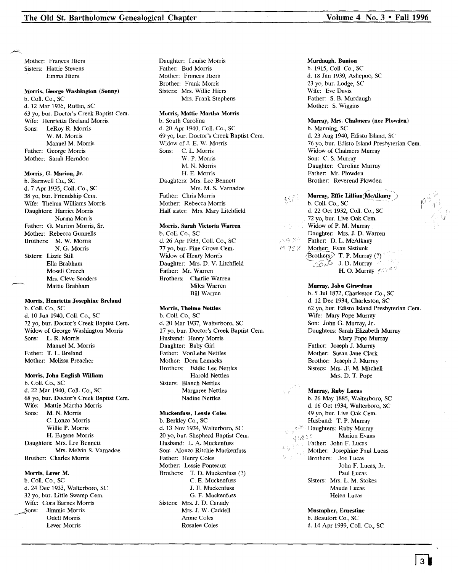Mother: Frances Hiers Sisters: Hattie Stevens Emma Hiers

#### Morris, George Washington (Sonny)

b. Call. Co., SC d. 12 Mar 1935, Ruffin, SC 63 yo, bur. Doctor's Creek Baptist Cern. Wife: Henrietta Breland Morris Sons: LeRoy R. Morris W. M. Morris Manuel M. Morris Father: George Morris Mother: Sarah Herndon

#### Morris, G. Marion, Jr.

b. Barnwell Co., SC d. 7 Apr 1935, Call. Co., SC 38 yo, bur. Friendship Cem. Wife: Thelma Williams Morris Daughters: Harriet Morris Norma Morris Father: G. Marion Morris, Sr. Mother: Rebecca Gunnells Brothers: M. W. Morris N. G. Morris Sisters: Lizzie Still Ella Brabham Mosell Creech Mrs. Cleve Sanders Mattie Brabham

#### Morris, Henrietta Josephine Breland

b. Call. Co., SC d. 10 Jun 1940, Call. Co., SC 72 yo, bur. Doctor's Creek Baptist Cern. Widow of George Washington Morris Sons: L. R. Morris Manuel M. Morris Father: T. L. Breland Mother: Melissa Preacher

#### Morris, John English William

b. Call. Co., SC d. 22 Mar 1940, Call. Co., SC 68 yo, bur. Doctor's Creek Baptist Cem. Wife: Mattie Martha Morris Sons: M. N. Morris C. Lonzo Morris Willie P. Morris H. Eugene Morris Daughters: Mrs. Lee Bennett Mrs. Melvin S. Varnadoe Brother: Charles Morris

#### Morris, Lever M.

b. Call. Co., SC d. 24 Dec 1933, Walterboro, SC 32 yo, bur. Little Swamp Cem. Wife: Cora Barnes Morris Sons: Jimmie Morris Odell Morris Lever Morris

Daughter: Louise Morris Father: Bud Morris Mother: Frances Hiers Brother: Frank Morris Sisters: Mrs. Willie Hiers Mrs. Frank Stephens

## Morris, Mattie Martha Morris

b. South Carolina d. 20 Apr 1940, Call. Co., SC 69 yo, bur. Doctor's Creek Baptist Cern. Widow of J. E. W. Morris Sons: C. L. Morris W. P. Morris M. N. Morris H. E. Morris Daughters: Mrs. Lee Bennett Mrs. M. S. Varnadoe Father: Chris Morris Mother: Rebecca Morris Half sister: Mrs. Mary Litchfield

#### Morris, Sarah Victoria Warren

b. Call. Co., SC d. 26 Apr 1933, Call. Co., SC 77 yo, bur. Pine Grove Cem. Widow of Henry Morris Daughter: Mrs. D. V. Litchfield Father: Mr. Warren Brothers: Charlie Warren Miles Warren Bill Warren

## Morris, Thelma Nettles

b. Call. Co., SC d. 20 Mar 1937, Walterboro, SC 17 yo, bur. Doctor's Creek Baptist Cern. Husband: Henry Morris Daughter: Baby Girl Father: VonLehe Nettles Mother: Dora Lemacks Brothers: Eddie Lee Nettles Harold Nettles Sisters: Blanch Nettles Margaree Nettles Nadine Nettles

#### Muckenfuss, Lessie Coles

b. Berkley Co., SC d. 13 Nov 1934, Walterboro, SC 20 yo, bur. Shepherd Baptist Cem. Husband: L. A. Muckenfuss Son: Alonzo Ritchie Muckenfuss Father: Henry Coles Mother: Lessie Ponteaux Brothers: T. D. Muckenfuss (?) C. E. Muckenfuss J. E. Muckenfuss G. F. Muckenfuss Sisters: Mrs. J. D. Canady Mrs. J. W. Caddell Annie Coles Rosalee Coles

#### Murdaugh. Bunion

b. 1915, Call. Co., SC d. 18 Jan 1939, Ashepoo, SC 23 yo, bur. Lodge, SC Wife: Eve Davis Father: S. B. Murdaugh Mother: S. Wiggins

## Murray, Mrs. Chalmers (nee Plowden)

b. Manning, SC d. 23 Aug 1940, Edisto Island, SC 76 vo, bur. Edisto Island Presbyterian Cem. Widow of Chalmers Murray Son: C. S. Murray Daughter: Caroline Murray Father: Mr. Plowden Brother: Reverend Plowden

 $12.92.2$ Murray, Effie Lillian (McAlkany)<br>b. Coll. Co., SC d.  $22$  Oct 1932, Coll. Co., SC 72 yo, bur. Live Oak Cem. Widow of P. M. Murray Daughter: Mrs. J. D. Warren Father: D. L. McAlkany Mother: Evan Sistiunk  $(Brothers)$  T. P. Murray (?)  $\overline{\text{S}}$ <sup>5</sup>: J. D. Murray H. O. Murray  $\mathscr{C}/\mathscr{P}$ 

 $K_{\alpha}^{(2)}$  .

みやざぎ

Murray. John Girardeau b. 5 Jul 1872, Charleston Co., SC d. 12 Dec 1934, Charleston, SC 62 yo, bur. Edisto Island Presbyterian Cem. Wife: Mary Pope Murray Son: John G. Murray, Jr. Daughters: Sarah Elizabeth Murray Mary Pope Murray Father: Joseph J. Murray Mother: Susan Jane Clark Brother: Joseph J. Murray Sisters: Mrs.. F. M. Mitchell Mrs. D. T. Pope

Murray, Ruby Lucas b. 26 May 1885, Walterboro, SC d. 16 Oct 1934, Walterboro, SC 49 yo, bur. Live Oak Cem. Husband: T. P. Murray Daughters: Ruby Murray  $\tau_2 \in$ Marion Evans Father: John F. Lucas Mother: Josephine Paul Lucas . Brothers: Joe Lucas John F. Lucas, Jr. Paul Lucas Sisters: Mrs. L. M. Stokes Maude Lucas Helen Lucas

Mustapher, Ernestine b. Beaufort Co., SC d. 14 Apr 1939, Call. Co., SC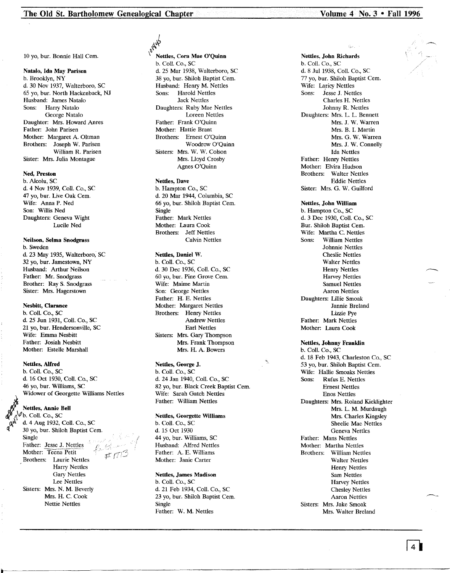10 yo, bur. Bonnie Hall Cern.

## Natalo, Ida May Parisen

b. Brooklyn, NY d. 30 Nov 1937, Walterboro, SC 65 yo, bur. North Hackenback, NJ Husband: James Natalo Sons: Harry Natalo George Natalo Daughter: Mrs. Howard Anres Father: John Parisen Mother: Margaret A. Oltman Brothers: Joseph W. Parisen William R. Parisen Sister: Mrs. Julia Montague

#### Ned, Preston

b. Alcolu, SC d. 4 Nov 1939, CoIl. Co., SC 47 vo, bur. Live Oak Cem. Wife: Anna P. Ned Son: Willis Ned Daughters: Geneva Wight Lucile Ned

#### Neilson, Selma Snodgrass b. Sweden d. 23 May 1935, Walterboro, SC 32 yo, bur. Jamestown, NY Husband: Arthur Neilson Father: Mr. Snodgrass Brother: Ray S. Snodgrass

#### Nesbitt, Clarance

Sister: Mrs. Hagerstown

b. CoIl. Co., SC d. 25 Jun 1931, ColI. Co., SC 21 yo, bur. Hendersonville, SC Wife: Emma Nesbitt Father: Josiah Nesbitt Mother: Estelle Marshall

#### Nettles., Alfred

b. CoIl. Co., SC d. 16 Oct 1930, Coil. Co., SC 46 yo, bur. Williams, SC Widower of Georgette Williams Nettles

## **Nettles, Annie Bell**

b. Coll. Co., SC ~ d. 4 Aug 1932, ColI. Co., SC 30 yo, bur. Shiloh Baptist Cem. Single Father: Jesse J. Nettles Mother: Teena Petit Brothers: Laurie Nettles Harry Nettles Gary Nettles Lee Nettles Sisters: Mrs. N. M. Beverly Mrs. H. C. Cook Nettie Nettles

~ 1945

\ Nettles, Cora Mae O'Quinn b. ColI. Co., SC d. 25 Mar 1938, Walterboro, SC 38 yo, bur. Shiloh Baptist Cern. Husband: Henry M. Nettles Sons: Harold Nettles Jack Nettles Daughters: Ruby Mae Nettles Loreen Nettles Father: Frank O'Quinn Mother: Hattie Brant Brothers: Ernest O'Quinn Woodrow O'Quinn Sisters: Mrs. W. W. Colson Mrs. Uoyd Crosby Agnes O'Quinn

## Nettles, Dave

b. Hampton Co., SC d. 20 Mar 1944, Columbia, SC 66 yo, bur. Shiloh Baptist Cern. Single Father: Mark Nettles Mother: Laura Cook Brothers: Jeff Nettles Calvin Nettles

## Nettles, Daniel W.

b. CoIl. Co., SC d. 30 Dec 1936, Coil. Co., SC 60 yo, bur. Pine Grove Cern. Wife: Maime Martin Son: George Nettles Father: H. E. Nettles Mother: Margaret Nettles Brothers: Henry Nettles Andrew Nettles Earl Nettles Sisters: Mrs. Gary Thompson Mrs. Frank Thompson Mrs. H. A. Bowers

## Nettles, George J.

b. ColI. Co., SC d. 24 Jan 1940, CoIl. Co., SC 82 yo, bur. Black Creek Baptist Cem. Wife: Sarah Gatch Nettles Father: William Nettles

## Nettles, Georgette Williams

b. CoIl. Co., SC d. 15 Oct 1930 44 yo, bur. Williams, SC Husband: Alfred Nettles Father: A. E. Williams Mother: Janie Carter

## Nettles, James Madison

b. Coil. Co., SC d. 21 Feb 1934, ColI. Co., SC 23 yo, bur. Shiloh Baptist Cem. Single Father: W. M. Nettles

Nettles, John Richards b. CoIl. Co., SC d. 8 Jul 1938, Coil. Co., SC 77 yo, bur. Shiloh Baptist Cem. Wife: Laricy Nettles<br>Sons: Jesse J. Nettl Jesse J. Nettles Charles H. Nettles Johnny R. Nettles Daughters: Mrs. L. L. Bennett Mrs. J. W. Warren Mrs. B. 1. Martin Mrs. G. W. Warren Mrs. J. W. Connelly Ida Nettles Father: Henry Nettles Mother: Elvira Hudson Brothers: Walter Nettles Eddie Nettles Sister: Mrs. G. W. Guilford

Nettles, John William b. Hampton Co., SC d. 3 Dec 1930, CoIl. Co., SC Bur. Shiloh Baptist Cem. Wife: Martha C. Nettles Sons: William Nettles Johnnie Nettles Cheslie Nettles Walter Nettles Henry Nettles Harvey Nettles Samuel Nettles Aaron Nettles Daughters: Lillie Smoak Jannie Breland Lizzie Pye Father: Mark Nettles Mother: Laura Cook

#### Nettles, Johnny Franklin

b. CoIl. Co., SC d. 18 Feb 1943, Charleston Co., SC 53 yo, bur. Shiloh Baptist Cern. Wife: Hallie Smoaks Nettles Sons: Rufus E. Nettles Ernest Nettles Enos Nettles Daughters: Mrs. Roland Kicklighter Mrs. L. M. Murdaugh Mrs. Charles Kingsley Sheelie Mae Nettles Geneva Nettles Father: Mans Nettles Mother: Martha Nettles Brothers: William Nettles Walter Nettles Henry Nettles Sam Nettles Harvey Nettles Chesley Nettles Aaron Nettles Sisters: Mrs. Jake Smoak Mrs. Walter Breland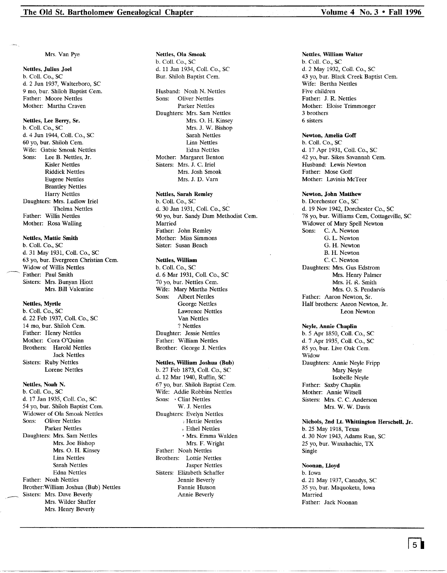Mrs. Van Pye

## Nettles, Julius Joel b. Call. Co., SC d. 2 Jun 1937, Walterboro, SC 9 mo, bur. Shiloh Baptist Cem. Father: Moore Nettles Mother: Martha Craven

#### Nettles, Lee Berry, Sr.

b. Call. Co., SC d. 4 Jun 1944, Call. Co., SC 60 yo, bur. Shiloh Cern. Wife: Gatsie Smoak Nettles Sons: Lee B. Nettles, Jr. Kisler Nettles Riddick Nettles Eugene Nettles Brantley Nettles Harry Nettles Daughters: Mrs. Ludlow Iriel Thelma Nettles Father: Willis Nettles Mother: Rosa Walling

## Nettles, Mattie Smith

b. Call. Co., SC d. 31 May 1931, Call. Co., SC 63 yo, bur. Evergreen Christian Cern. Widow of Willis Nettles Father: Paul Smith Sisters: Mrs. Bunyan Hiott Mrs. Bill Valentine

#### Nettles, Myrtle

b. Call. Co., SC d. 22 Feb 1937, Call. Co., SC 14 mo, bur. Shiloh Cern. Father: Henry Nettles Mother: Cora O'Quinn Brothers: Harold Nettles Jack Nettles Sisters: Ruby Nettles Lorene Nettles

## Nettles, Noah N.

Brother: William Joshua (B)<br>Sisters: Mrs. Dave Beverly b. Call. Co., SC d. 17 Jan 1935, Call. Co., SC 54 yo, bur. Shiloh Baptist Cem. Widower of Ola Smoak Nettles Sons: Oliver Nettles Parker Nettles Daughters: Mrs. Sam Nettles Mrs. Joe Bishop Mrs. O. H. Kinsey Lina Nettles Sarah Nettles Edna Nettles Father: Noah Nettles Brother:William Joshua (Bub) Nettles Mrs. Wilder Shaffer Mrs. Henry Beverly

#### Nettles, Ola Smoak b. Call. Co., SC d. 11 Jan 1934, Call. Co., SC Bur. Shiloh Baptist Cem.

Husband: Noah N. Nettles Sons: Oliver Nettles Parker Nettles Daughters: Mrs. Sam Nettles Mrs. O. H. Kinsey Mrs. J. W. Bishop Sarah Nettles Lina Nettles Edna Nettles Mother: Margaret Benton Sisters: Mrs. J. C. Iriel Mrs. Josh Smoak Mrs. J. D. Varn

#### Nettles, Sarah Remley

b. Call. Co., SC d. 30 Jan 1931, Call. Co., SC 90 yo, bur. Sandy Dam Methodist Cem. Married Father: John Remley Mother: Miss Simmons Sister: Susan Beach

## Nettles, William

b. Coll. Co., SC d. 6 Mar 1931, Coll. Co., SC 70 yo, bur. Nettles Cern. Wife: Mary Martha Nettles<br>Sons: Albert Nettles Albert Nettles George Nettles Lawrence Nettles Van Nettles ? Nettles Daughter: Jessie Nettles Father: William Nettles Brother: George J. Nettles

#### Nettles, William Joshua (Bub)

b. 27 Feb 1873, Call. Co., SC d. 12 Mar 1940, Ruffin, SC 67 yo, bur. Shiloh Baptist Cern. Wife: Addie Robbins Nettles Sons: • Clint Nettles W. J. Nettles Daughters: Evelyn Nettles , Hettie Nettles , Ethel Nettles • Mrs. Emma Walden Mrs. F. Wright Father: Noah Nettles Brothers: Lottie Nettles Jasper Nettles Sisters: Elizabeth Schaffer Jennie Beverly Fannie Hutson Annie Beverly

## Nettles. William Walter

b. Call. Co., SC d. 2 May 1932, ColI. Co., SC 43 yo, bur. Black Creek Baptist Cern. Wife: Bertha Nettles Five children Father: J. R. Nettles Mother: Eloise Trimmonger 3 brothers 6 sisters

### Newton. Amelia Goff

b. Call. Co., SC d. 17 Apr 1931, Call. Co., SC 42 yo, bur. Sikes Savannah Cem. Husband: Lewis Newton Father: Mose Goff Mother: Lavinia McTeer

## Newton. John Matthew

b. Dorchester Co., SC d. 19 Nov 1942, Dorchester Co., SC 78 yo, bur. Williams Cem, Cottageville, SC Widower of Mary Spell Newton Sons: C. A. Newton G. L. Newton G. H. Newton B. H. Newton C. C. Newton Daughters: Mrs. Gus Edstrom Mrs. Henry Palmer Mrs. H. R. Smith Mrs. O. S. Pendarvis Father: Aaron Newton, Sr. Half brothers: Aaron Newton, Jr. Leon Newton

#### Neyle, Annie Chaplin

b. 5 Apr 1850, Call. Co., SC d. 7 Apr 1935, Call. Co., SC 85 yo, bur. Live Oak Cern. Widow Daughters: Annie Neyle Fripp Mary Neyle Isabelle Neyle Father: Saxby Chaplin Mother: Annie Witsell Sisters: Mrs. C. C. Anderson Mrs. W. W. Davis

## Nichols, 2nd Lt. Whittington Herschel!, Jr.

b. 25 May 1918, Texas d. 30 Nov 1943, Adams Run, SC 25 yo, bur. Waxahachie, TX Single

# Noonan, Lloyd

b. Iowa d. 21 May 1937, Canadys, SC 35 yo, bur. Maquoketa, Iowa Married Father: Jack Noonan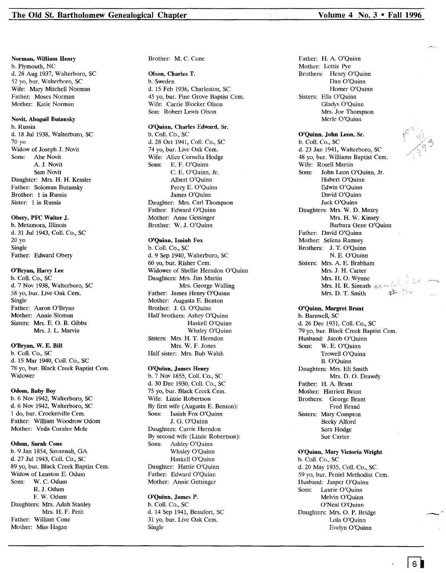#### Norman, William Henry b. Plymouth, NC d. 28 Aug 1937, Walterboro, SC 52 yo, bur. Walterboro, SC Wife: Mary Mitchell Norman Father: Moses Norman Mother: Katie Norman

#### Novit, Abagail Butansky

b. Russia d. 18 Jul 1938, Walterboro, SC 70 yo Widow of Joseph J. Novit Sons: Abe Novit A. J. Novit Sam Novit Daughter: Mrs. H. H. Kessler Father: Soloman Butansky Brother: 1 in Russia Sister: 1 in Russia

## Obery, PFC Walter J.

b. Metamora, Illinois d. 31 Jul 1943, Call. Co., SC 20 yo Single Father: Edward Obery

## O'Bryan, Harry Lee

b. ColI. Co., SC d. 7 Nov 1938, Walterboro, SC 58 yo, bur. Live Oak Cern. Single Father: Aaron O'Bryan Mother: Annie Sloman Sisters: Mrs. E. O. B. Gibbs Mrs. J. L. Marvin

## O'Bryan, W. E. Bill

b. Coli. Co., SC d. 15 Mar 1940, ColI. Co., SC 78 yo, bur. Black Creek Baptist Cem. Widower

#### Odom, Baby Boy

b. 6 Nov 1942, Walterboro, SC d. 6 Nov 1942, Walterboro, SC 1 do, bur. Crocketville Cern. Father: William Woodrow Odorn Mother: Veda Coralee Mole

#### Odum, Sarah Cone

b. 9 Jan 1854, Savannah, GA d. 27 Jul 1943, Call. Co., SC 89 yo, bur. Black Creek Baptist Cem. Widow of Leaston E. Odurn Sons: W. C. Odum R. J. Odurn F. W. Odurn Daughters: Mrs. Adah Stanley Mrs. H. F. Petit Father: William Cone Mother: Miss Hagan

Brother: M. C. Cone

## Olson, Charles T.

b. Sweden d. 15 Feb 1936, Charleston, SC 45 yo, bur. Pine Grove Baptist Cem. Wife: Carrie Blocker Olson Son: Robert Lewis Olson

## O'Quinn, Charles Edward, Sr.

b. ColI. Co., SC d. 28 Oct 1941, Call. Co., SC 74 yo, bur. Live Oak Cem. Wife: Alice Cornelia Hodge Sons: E. F. O'Quinn C. E. O'Quinn, Jr. Albert O'Quinn Percy E. O'Quinn James O'Quinn Daughter: Mrs. Carl Thompson Father: Edward O'Quinn Mother: Anne Getsinger Brother: W. J. O'Quinn

## O'Quinn, Isaiah Fox

b. Call. Co., SC d. 9 Sep 1940, Walterboro, SC 60 yo, bur. Risher Cern. Widower of Shellie Herndon O'Quinn Daughters: Mrs. Jim Martin Mrs. George Walling Father: James Henry O'Quinn Mother: Augusta E. Benton Brother: J. G. O'Quinn Half brothers: Ashey O'Quinn Haskell O'Quinn Whaley O'Quinn Sisters: Mrs. H. T. Herndon Mrs. W. F. Jones Half sister: Mrs. Bub Walsh

#### O'Quinn, James Henry

b. 7 Nov 1855, ColI. Co., SC d. 30 Dec 1930, Coil. Co., SC 75 yo, bur. Black Creek Cern. Wife: Lizzie Robertson By first wife (Augusta E. Benton): Sons: Isaiah Fox O'Quinn J. G. O'Quinn Daughters: Carrie Herndon By second wife (Lizzie Robertson): Sons: Ashley O'Quinn Whaley O'Quinn Haskell O'Quinn Daughter: Hattie O'Quinn Father: Edward O'Quinn Mother: Annie Getsinger

## O'Quinn, James P.

b. Call. Co., SC d. 14 Sep 1941, Beaufort, SC 31 yo, bur. Live Oak Cem. Single

Father: H. A. O'Quinn Mother: Lottie Pye Brothers: Henry O'Quinn Dan O'Quinn Homer O'Quinn Sisters: Ella O'Quinn Gladys O'Quinn Mrs. Joe Thompson Merle O'Ouinn

### O'Quinn, John Leon, Sr. b. ColI. Co., SC d. 23 Jan 1941, Walterboro, SC 48 yo, bur. Williams Baptist Cem. Wife: Rosell Martin Sons: John Leon O'Quinn, Jr. Hubert O'Quinn Edwin O'Quinn David O'Quinn Jack O'Quinn Daughters: Mrs. W. D. Maxey Mrs. H. W. Kinsey Barbara Gene O'Quinn Father: David O'Quinn Mother: Selena Ramsey Brothers: J. T. O'Quinn N. E. O'Quinn Sisters: Mrs. A. E. Brabham Mrs. J. H. Carter Mrs. H. O. Wynne Mrs. H. R. Sineath 2000 Mrs. D. T. Smith

## O'Quinn, Margret Brant

b. Barnwell, SC d. 26 Dec 1931, Coil. Co., SC 79 yo, bur. Black Creek Baptist Cem. Husband: Jacob O'Quinn Sons: W. E. O'Quinn Trowell O'Quinn B. O'Quinn Daughters: Mrs. Eli Smith Mrs. D. O. Drawdy Father: H. A. Brant Mother: Harriett Brant Brothers: George Brant Fred Brand Sisters: Mary Compton Becky Alford Sara Hodge Sue Carter

## O'Quinn, Mary Victoria Wright

b. ColI. Co., SC d. 20 May 1935, Coli. Co., SC 59 yo, bur. Peniel Methodist Cern. Husband: Jasper O'Quinn Sons: Laurie O'Quinn Melvin O'Quinn O'Neal O'Quinn Daughters: Mrs. O. P. Bridge Lola O'Quinn Evelyn O'Quinn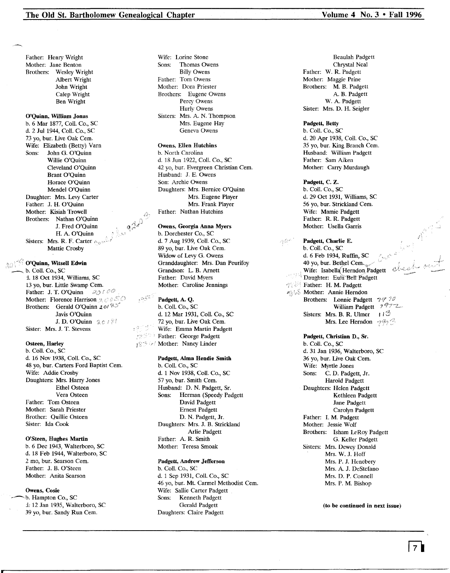Father: Henry Wright Mother: Jane Benton Brothers: Wesley Wright Albert Wright John Wright Calep Wright Ben Wright

# O'Quinn, William Jonas

b. 6 Mar 1877, Call. Co., SC d. 2 Jul 1944, Call. Co., SC 73 yo, bur. Live Oak Cem. Wife: Elizabeth (Betty) Varn<br>Sons: John G. O'Quinn John G. O'Quinn Willie O'Quinn Cleveland O'Quinn Brant O'Quinn Horace O'Quinn Mendel O'Quinn Daughter: Mrs. Levy Carter Father: J. H. O'Quinn Mother: Kisiah Trowell Brothers: Nathan O'Quinn J. Fred O'Quinn H. A. O'Quinn Sisters: Mrs. R. F. Carter  $\rho_{\text{cav}}$ Mattie Crosby

## $^\circ$  O'Quinn, Witsell Edwin b. Coll. Co., SC i. 18 Oct 1934, Williams, SC 13 yo, bur. Little Swamp Cern. Father: J. T. O'Quinn  $\partial \mathcal{O} \subset \mathcal{O}$ Mother: Florence Harrison  $\mathcal{A} \otimes \mathcal{A} \subseteq \mathcal{A}$ Brothers: Gerald O'Quinn  $2 \pi/ \frac{2\pi}{3}$ Javis O'Quinn J. D. O'Quinn  $\mathcal{R} \subset \mathcal{N}$

Sister: Mrs. J. T. Stevens

## Osteen, Harley

b. Call. Co., SC d. 16 Nov 1938, Call. Co., SC 48 yo, bur. Carters Ford Baptist Cem. Wife: Addie Crosby Daughters: Mrs. Harry Jones Ethel Osteen Vera Osteen Father: Tom Osteen Mother: Sarah Priester Brother: Quillie Osteen Sister: Ida Cook

## O'Steen, Hughes Martin

b. 6 Dec 1943, Walterboro, SC d. 18 Feb 1944, Walterboro, SC 2 mo, bur. Searson Cern. Father: J. B. O'Steen Mother: Anita Searson

## Owens, Cosie

b. Hampton Co., SC *i:* 12 Jan 1935, Walterboro, SC 39 yo, bur. Sandy Run Cem.

Wife: Lorine Stone Sons: Thomas Owens Billy Owens Father: Tom Owens Mother: Dora Priester Brothers: Eugene Owens Percy Owens Hurly Owens Sisters: Mrs. A. N. Thompson Mrs. Eugene Hay Geneva Owens

## Owens. Ellen Hutchins

b. North Carolina d. 18 Jun 1922, Call. Co., SC 42 yo, bur. Evergreen Christian Cem. Husband: J. E. Owens Son: Archie Owens Daughters: Mrs. Bernice O'Quinn Mrs. Eugene Player Mrs. Frank Player Father: Nathan Hutchins

#### Owens, Georgia Anna Myers

b. Dorchester Co., SC d. 7 Aug 1939, Call. Co., SC 89 yo, bur. Live Oak Cem. Widow of Levy G. Owens Granddaughter: Mrs. Dan Peurifoy Grandson: L. B. Arnett Father: David Myers Mother: Caroline Jennings

# Padgett, A. Q.

b. Call. Co., SC d. 12 Mar 1931, Coll. Co., SC 72 yo, bur. Live Oak Cern. Wife: Emma Martin Padgett **Father: George Padgett** 1873 Gol Mother: Nancy Linder

## Padgett, Alma Hendie Smith

b. Call. Co., SC d. 1 Nov 1938, Call. Co., SC 57 yo, bur. Smith Cern. Husband: D. N. Padgett, Sr.<br>Sons: Herman (Speedy Pac Herman (Speedy Padgett David Padgett Ernest Padgett D. N. Padgett, Jr. Daughters: Mrs. J. B. Strickland Arlie Padgett Father: A. R. Smith Mother: Teresa Smoak

## Padgett, Andrew Jefferson

b. Call. Co., SC d. 1 Sep 1931, Call. Co., SC 46 yo, bur. Mt. Carmel Methodist Cem. Wife: Sallie Carter Padgett<br>Sons: Kenneth Padgett Kenneth Padgett Gerald Padgett Daughters: Claire Padgett

Beaulah Padgett Chrystal Neal Father: W. R. Padgett Mother: Maggie Prine Brothers: M. B. Padgett A. B. Padgett W. A. Padgett Sister: Mrs. D. H. Seigler

#### Padgett, Betty

b. Call. Co., SC d. 20 Apr 1938, Call. Co., SC 35 yo, bur. King Branch Cem. Husband: William Padgett Father: Sam Aiken Mother: Carry Murdaugh

#### Padgett, C. Z.

b. Call. Co., SC d. 29 Oct 1931, Williams, SC 56 yo, bur. Strickland Cern. Wife: Mamie Padgett Father: R. R. Padgett Mother: Usella Garris

Padgett, Charlie E. b. Call. Co., SC d. 6 Feb 1934, Ruffin, SC 40 yo, bur. Bethel Cem.  $\blacksquare$  Wife: Isabella Herndon Padgett Wife: Isabella Herndon Padg Daughter: Eula Bell Padget **THE Father: H. M. Padgett** Mother: Annie Herndon Brothers: Lonnie Padgett 797 70 William Padgett 7977\_ Sisters: Mrs. B. R. Ulmer  $H^{\circledcirc}$ Mrs. Lee Herndon  $\gamma \hat{\varphi}_2 \hat{\varphi}$ 

> Padgett, Christian D., Sr. b. Call. Co., SC d. 31 Jan 1936, Walterboro, SC 36 yo, bur. Live Oak Cern. Wife: Myrtle Jones Sons: C. D. Padgett, Jr. Harold Padgett Daughters: Helen Padgett Kethleen Padgett Jane Padgett Carolyn Padgett Father: 1. M. Padgett Mother: Jessie Wolf Brothers: Isham LeRoy Padgett G. Keller Padgett Sisters: Mrs. Dewey Donald Mrs. W. J. Hoff Mrs. P. J. Henebery Mrs. A. J. DeStefano Mrs. D. P. Connell Mrs. P. M. Bishop

> > (to be continued in next issue)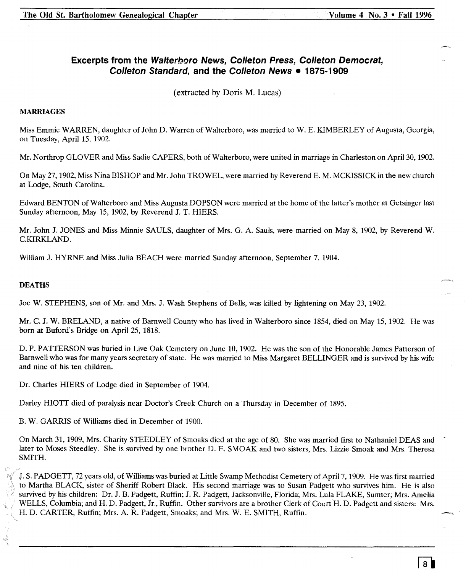# **Excerpts from the Walterboro News, Colleton Press, Colleton Democrat, Colleton Standard, and the Colleton News • 1875-1909**

(extracted by Doris M. Lucas)

# **MARRIAGES**

Miss Emmie WARREN, daughter of John D. Warren of Walterboro, was married to W. E. KIMBERLEY of Augusta, Georgia, on Tuesday, April 15, 1902.

Mr. Northrop GLOVER and Miss Sadie CAPERS, both of Walterboro, were united in marriage in Charleston on April 30, 1902.

On May 27, 1902, Miss Nina BISHOP and Mr. John TROWEL, were married by Reverend E. M. MCKISSICK in the new church at Lodge, South Carolina.

Edward BENTON of Walterboro and Miss Augusta DOPSON were married at the home of the latter's mother at Getsinger last Sunday afternoon, May 15, 1902, by Reverend J. T. HIERS.

Mr. John J. JONES and Miss Minnie SAULS, daughter of Mrs. G. A. Sauls, were married on May 8, 1902, by Reverend W. C.KIRKLAND.

William J. HYRNE and Miss Julia BEACH were married Sunday afternoon, September 7, 1904.

# **DEATHS**

Joe W. STEPHENS, son of Mr. and Mrs. J. Wash Stephens of Bells, was killed by lightening on May 23, 1902.

Mr. C. J. W. BRELAND, a native of Barnwell County who has lived in Walterboro since 1854, died on May 15,1902. He was born at Buford's Bridge on April 25, 1818.

D. P. PATTERSON was buried in Live Oak Cemetery on June 10, 1902. He was the son of the Honorable James Patterson of Barnwell who was for many years secretary of state. He was married to Miss Margaret BELLINGER and is survived by his wife and nine of his ten children.

Dr. Charles HIERS of Lodge died in September of 1904.

Darley HIOTT died of paralysis near Doctor's Creek Church on a Thursday in December of 1895.

B. W. GARRIS of Williams died in December of 1900.

On March 31,1909, Mrs. Charity STEEDLEY of Smoaks died at the age of 80. She was married first to Nathaniel DEAS and later to Moses Steedley. She is survived by one brother D. E. SMOAK and two sisters, Mrs. Lizzie Smoak and Mrs. Theresa SMITH.

J. S. PADGETT, 72 years old, of Williams was buried at Little Swamp Methodist Cemetery of April 7,1909. He was first married to Martha BLACK, sister of Sheriff Robert Black. His second marriage was to Susan Padgett who survives him. He is also survived by his children: Dr. J. B. Padgett, Ruffin; J. R. Padgett, Jacksonville, Florida; Mrs. Lula FLAKE, Sumter; Mrs. Amelia WELLS, Columbia; and H. D. Padgett, Jr., Ruffin. Other survivors are a brother Clerk of Court H. D. Padgett and sisters: Mrs. H. D. CARTER, Ruffin; Mrs. A. R. Padgett, Smoaks; and Mrs. W. E. SMITH, Ruffin.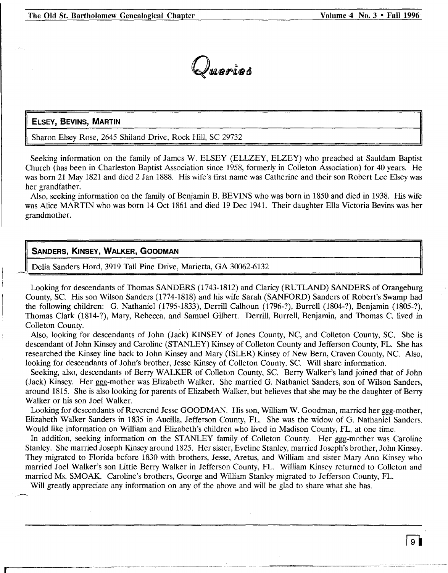

# **ELSEY, BEVINS, MARTIN**

Sharon Elsey Rose, 2645 Shiland Drive, Rock Hill, SC 29732

Seeking information on the family of James W. ELSEY (ELLZEY, ELZEY) who preached at Sauldam Baptist Church (has been in Charleston Baptist Association since 1958, formerly in Colleton Association) for 40 years. He was born 21 May 1821 and died 2 Jan 1888. His wife's first name was Catherine and their son Robert Lee Elsey was her grandfather.

Also, seeking information on the family of Benjamin B. BEVINS who was born in 1850 and died in 1938. His wife was Alice MARTIN who was born 14 Oct 1861 and died 19 Dec 1941. Their daughter Ella Victoria Bevins was her grandmother.

# **SANDERS, KINSEY, WALKER, GOODMAN**

Delia Sanders Hord, 3919 Tall Pine Drive, Marietta, GA 30062-6132

Looking for descendants of Thomas SANDERS (1743-1812) and Claricy (RUTLAND) SANDERS of Orangeburg County, Sc. His son Wilson Sanders (1774-1818) and his wife Sarah (SANFORD) Sanders of Robert's Swamp had the following children: G. Nathaniel (1795-1833), Derrill Calhoun (1796-?), Burrell (1804-?), Benjamin (1805-?), Thomas Clark (1814-?), Mary, Rebecca, and Samuel Gilbert. Derrill, Burrell, Benjamin, and Thomas C. lived in Colleton County.

Also, looking for descendants of John (Jack) KINSEY of Jones County, NC, and Colleton County, SC. She is descendant of John Kinsey and Caroline (STANLEY) Kinsey of Colleton County and Jefferson County, FL. She has researched the Kinsey line back to John Kinsey and Mary (ISLER) Kinsey of New Bern, Craven County, NC. Also, looking for descendants of John's brother, Jesse Kinsey of Colleton County, Sc. Will share information.

Seeking, also, descendants of Berry WALKER of Colleton County, Sc. Berry Walker's land joined that of John (Jack) Kinsey. Her ggg-mother was Elizabeth Walker. She married G. Nathaniel Sanders, son of Wilson Sanders, around 1815. She is also looking for parents of Elizabeth Walker, but believes that she may be the daughter of Berry Walker or his son Joel Walker.

Looking for descendants of Reverend Jesse GOODMAN. His son, William W. Goodman, married her ggg-mother, Elizabeth Walker Sanders in 1835 in Aucilla, Jefferson County, FL. She was the widow of G. Nathaniel Sanders. Would like information on William and Elizabeth's children who lived in Madison County, FL, at one time.

In addition, seeking information on the STANLEY family of Colleton County. Her ggg-mother was Caroline Stanley. She married Joseph Kinsey around 1825. Her sister, Eveline Stanley, married Joseph's brother, John Kinsey. They migrated to Florida before 1830 with brothers, Jesse, Aretus, and William and sister Mary Ann Kinsey who married Joel Walker's son Little Berry Walker in Jefferson County, FL. William Kinsey returned to Colleton and married Ms. SMOAK. Caroline's brothers, George and William Stanley migrated to Jefferson County, FL.

Will greatly appreciate any information on any of the above and will be glad to share what she has.